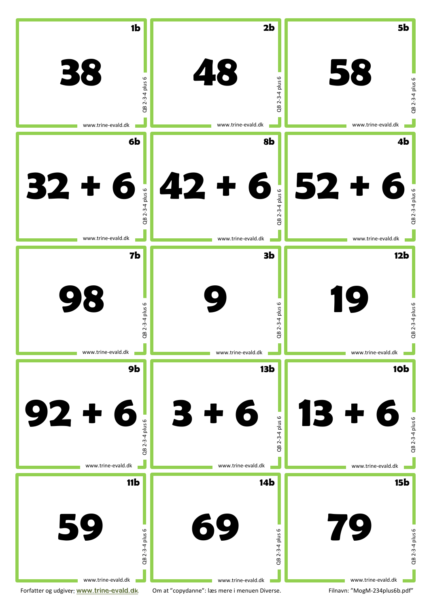